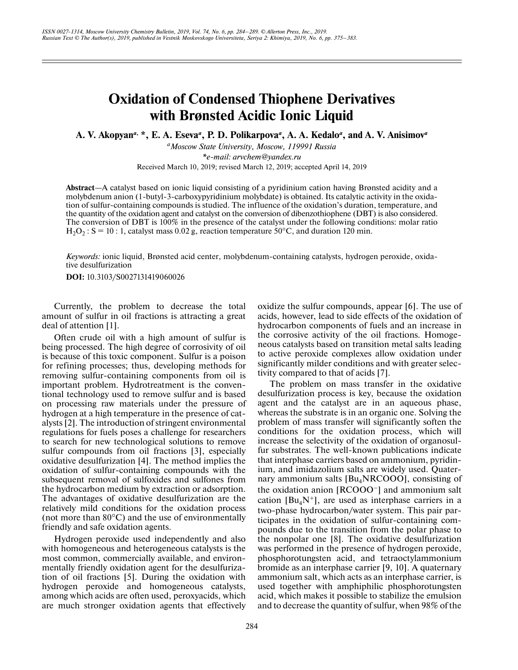# **Oxidation of Condensed Thiophene Derivatives with Brønsted Acidic Ionic Liquid**

**A. V. Akopyan***a***, \*, E. A. Eseva***a***, P. D. Polikarpova***a***, A. A. Kedalo***a***, and A. V. Anisimov***<sup>a</sup>*

*aMoscow State University, Moscow, 119991 Russia \*e-mail: arvchem@yandex.ru* Received March 10, 2019; revised March 12, 2019; accepted April 14, 2019

**Abstract**—A catalyst based on ionic liquid consisting of a pyridinium cation having Brønsted acidity and a molybdenum anion (1-butyl-3-carboxypyridinium molybdate) is obtained. Its catalytic activity in the oxidation of sulfur-containing compounds is studied. The influence of the oxidation's duration, temperature, and the quantity of the oxidation agent and catalyst on the conversion of dibenzothiophene (DBT) is also considered. The conversion of DBT is 100% in the presence of the catalyst under the following conditions: molar ratio  $H_2O_2$ : S = 10 : 1, catalyst mass 0.02 g, reaction temperature 50°C, and duration 120 min.

*Keywords:* ionic liquid, Brønsted acid center, molybdenum-containing catalysts, hydrogen peroxide, oxidative desulfurization

**DOI:** 10.3103/S0027131419060026

Currently, the problem to decrease the total amount of sulfur in oil fractions is attracting a great deal of attention [1].

Often crude oil with a high amount of sulfur is being processed. The high degree of corrosivity of oil is because of this toxic component. Sulfur is a poison for refining processes; thus, developing methods for removing sulfur-containing components from oil is important problem. Hydrotreatment is the conventional technology used to remove sulfur and is based on processing raw materials under the pressure of hydrogen at a high temperature in the presence of catalysts [2]. The introduction of stringent environmental regulations for fuels poses a challenge for researchers to search for new technological solutions to remove sulfur compounds from oil fractions [3], especially oxidative desulfurization [4]. The method implies the oxidation of sulfur-containing compounds with the subsequent removal of sulfoxides and sulfones from the hydrocarbon medium by extraction or adsorption. The advantages of oxidative desulfurization are the relatively mild conditions for the oxidation process (not more than  $80^{\circ}$ C) and the use of environmentally friendly and safe oxidation agents.

Hydrogen peroxide used independently and also with homogeneous and heterogeneous catalysts is the most common, commercially available, and environmentally friendly oxidation agent for the desulfurization of oil fractions [5]. During the oxidation with hydrogen peroxide and homogeneous catalysts, among which acids are often used, peroxyacids, which are much stronger oxidation agents that effectively oxidize the sulfur compounds, appear [6]. The use of acids, however, lead to side effects of the oxidation of hydrocarbon components of fuels and an increase in the corrosive activity of the oil fractions. Homogeneous catalysts based on transition metal salts leading to active peroxide complexes allow oxidation under significantly milder conditions and with greater selectivity compared to that of acids [7].

The problem on mass transfer in the oxidative desulfurization process is key, because the oxidation agent and the catalyst are in an aqueous phase, whereas the substrate is in an organic one. Solving the problem of mass transfer will significantly soften the conditions for the oxidation process, which will increase the selectivity of the oxidation of organosulfur substrates. The well-known publications indicate that interphase carriers based on ammonium, pyridinium, and imidazolium salts are widely used. Quaternary ammonium salts  $[Bu<sub>4</sub>NRCOOO]$ , consisting of the oxidation anion [RCOOO–] and ammonium salt cation  $[Bu<sub>4</sub>N<sup>+</sup>]$ , are used as interphase carriers in a two-phase hydrocarbon/water system. This pair participates in the oxidation of sulfur-containing compounds due to the transition from the polar phase to the nonpolar one [8]. The oxidative desulfurization was performed in the presence of hydrogen peroxide, phosphorotungsten acid, and tetraoctylammonium bromide as an interphase carrier [9, 10]. A quaternary ammonium salt, which acts as an interphase carrier, is used together with amphiphilic phosphorotungsten acid, which makes it possible to stabilize the emulsion and to decrease the quantity of sulfur, when 98% of the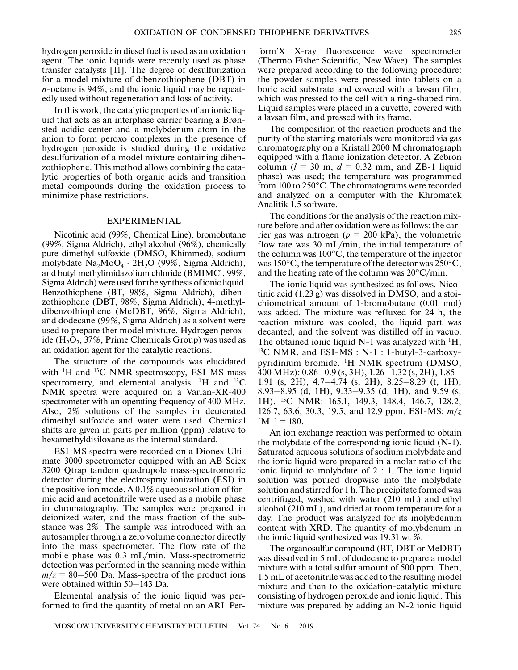hydrogen peroxide in diesel fuel is used as an oxidation agent. The ionic liquids were recently used as phase transfer catalysts [11]. The degree of desulfurization for a model mixture of dibenzothiophene (DBT) in *n*-octane is 94%, and the ionic liquid may be repeatedly used without regeneration and loss of activity.

In this work, the catalytic properties of an ionic liquid that acts as an interphase carrier bearing a Brønsted acidic center and a molybdenum atom in the anion to form peroxo complexes in the presence of hydrogen peroxide is studied during the oxidative desulfurization of a model mixture containing dibenzothiophene. This method allows combining the catalytic properties of both organic acids and transition metal compounds during the oxidation process to minimize phase restrictions.

#### EXPERIMENTAL

Nicotinic acid (99%, Chemical Line), bromobutane (99%, Sigma Aldrich), ethyl alcohol (96%), chemically pure dimethyl sulfoxide (DMSO, Khimmed), sodium molybdate  $\text{Na}_2\text{MoO}_4 \cdot 2\text{H}_2\text{O}$  (99%, Sigma Aldrich), and butyl methylimidazolium chloride (BMIMCl, 99%, Sigma Aldrich) were used for the synthesis of ionic liquid. Benzothiophene (BT, 98%, Sigma Aldrich), dibenzothiophene (DBT, 98%, Sigma Aldrich), 4-methyldibenzothiophene (MeDBT, 96%, Sigma Aldrich), and dodecane (99%, Sigma Aldrich) as a solvent were used to prepare ther model mixture. Hydrogen peroxide  $(H<sub>2</sub>O<sub>2</sub>, 37%$ , Prime Chemicals Group) was used as an oxidation agent for the catalytic reactions.

The structure of the compounds was elucidated with  ${}^{1}H$  and  ${}^{13}C$  NMR spectroscopy, ESI-MS mass spectrometry, and elemental analysis.  $\mathrm{^{1}H}$  and  $\mathrm{^{13}C}$ NMR spectra were acquired on a Varian-XR-400 spectrometer with an operating frequency of 400 MHz. Also, 2% solutions of the samples in deuterated dimethyl sulfoxide and water were used. Chemical shifts are given in parts per million (ppm) relative to hexamethyldisiloxane as the internal standard.

ESI-MS spectra were recorded on a Dionex Ultimate 3000 spectrometer equipped with an AB Sciex 3200 Qtrap tandem quadrupole mass-spectrometric detector during the electrospray ionization (ЕSI) in the positive ion mode. A  $0.1\%$  aqueous solution of formic acid and acetonitrile were used as a mobile phase in chromatography. The samples were prepared in deionized water, and the mass fraction of the substance was 2%. The sample was introduced with an autosampler through a zero volume connector directly into the mass spectrometer. The flow rate of the mobile phase was 0.3 mL/min. Mass-spectrometric detection was performed in the scanning mode within  $m/z = 80 - 500$  Da. Mass-spectra of the product ions were obtained within 50–143 Da.

Elemental analysis of the ionic liquid was performed to find the quantity of metal on an ARL Per-

form'X X-ray fluorescence wave spectrometer (Thermo Fisher Scientific, New Wave). The samples were prepared according to the following procedure: the powder samples were pressed into tablets on a boric acid substrate and covered with a lavsan film, which was pressed to the cell with a ring-shaped rim. Liquid samples were placed in a cuvette, covered with a lavsan film, and pressed with its frame.

The composition of the reaction products and the purity of the starting materials were monitored via gas chromatography on a Kristall 2000 M chromatograph equipped with a flame ionization detector. A Zebron column  $(l = 30 \text{ m}, d = 0.32 \text{ mm}, \text{ and } \text{ZB-1}$  liquid phase) was used; the temperature was programmed from 100 to 250°С. The chromatograms were recorded and analyzed on a computer with the Khromatek Analitik 1.5 software.

The conditions for the analysis of the reaction mixture before and after oxidation were as follows: the carrier gas was nitrogen ( $p = 200$  kPa), the volumetric flow rate was 30 mL/min, the initial temperature of the column was 100°С, the temperature of the injector was 150°С, the temperature of the detector was 250°С, and the heating rate of the column was 20°С/min.

The ionic liquid was synthesized as follows. Nicotinic acid (1.23 g) was dissolved in DMSO, and a stoichiometrical amount of 1-bromobutane (0.01 mol) was added. The mixture was refluxed for 24 h, the reaction mixture was cooled, the liquid part was decanted, and the solvent was distilled off in vacuo. The obtained ionic liquid N-1 was analyzed with  ${}^{1}H$ ,  ${}^{13}$ C NMR, and ESI-MS : N-1 : 1-butyl-3-carboxypyridinium bromide. 1H NMR spectrum (DMSO, 400 MHz): 0.86–0.9 (s, 3H), 1.26–1.32 (s, 2H), 1.85– 1.91 (s, 2H), 4.7–4.74 (s, 2H), 8.25–8.29 (t, 1H), 8.93–8.95 (d, 1H), 9.33–9.35 (d, 1H), and 9.59 (s, 1H). 13C NMR: 165.1, 149.3, 148.4, 146.7, 128.2, 126.7, 63.6, 30.3, 19.5, and 12.9 ppm. ESI-MS: *m*/*z*  $[M^+] = 180.$ 

An ion exchange reaction was performed to obtain the molybdate of the corresponding ionic liquid  $(N-1)$ . Saturated aqueous solutions of sodium molybdate and the ionic liquid were prepared in a molar ratio of the ionic liquid to molybdate of 2 : 1. The ionic liquid solution was poured dropwise into the molybdate solution and stirred for 1 h. The precipitate formed was centrifuged, washed with water (210 mL) and ethyl alcohol (210 mL), and dried at room temperature for a day. The product was analyzed for its molybdenum content with XRD. The quantity of molybdenum in the ionic liquid synthesized was 19.31 wt %.

The organosulfur compound (BT, DBT or MeDBT) was dissolved in 5 mL of dodecane to prepare a model mixture with a total sulfur amount of 500 ppm. Then, 1.5 mL of acetonitrile was added to the resulting model mixture and then to the oxidation-catalytic mixture consisting of hydrogen peroxide and ionic liquid. This mixture was prepared by adding an N-2 ionic liquid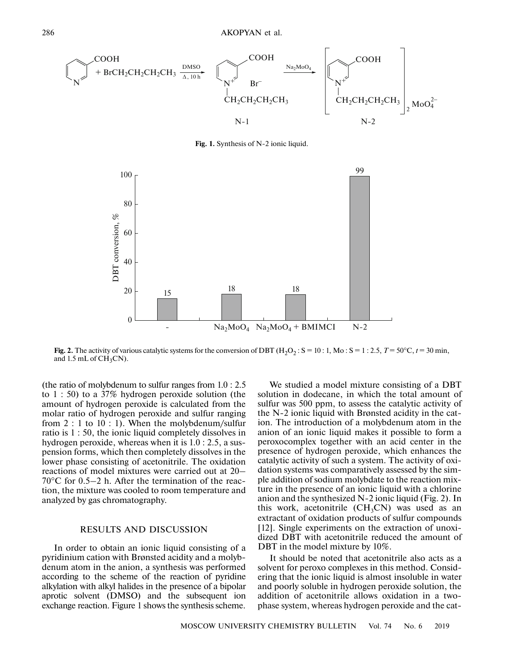

**Fig. 1.** Synthesis of N-2 ionic liquid.



**Fig. 2.** The activity of various catalytic systems for the conversion of DBT  $(H_2O_2 : S = 10 : 1, Mo : S = 1 : 2.5, T = 50^{\circ}C, t = 30$  min, and 1.5 mL of  $CH<sub>3</sub>CN$ .

(the ratio of molybdenum to sulfur ranges from 1.0 : 2.5 to 1 : 50) to a 37% hydrogen peroxide solution (the amount of hydrogen peroxide is calculated from the molar ratio of hydrogen peroxide and sulfur ranging from 2 : 1 to 10 : 1). When the molybdenum/sulfur ratio is 1 : 50, the ionic liquid completely dissolves in hydrogen peroxide, whereas when it is 1.0 : 2.5, a suspension forms, which then completely dissolves in the lower phase consisting of acetonitrile. The oxidation reactions of model mixtures were carried out at 20– 70°С for 0.5–2 h. After the termination of the reaction, the mixture was cooled to room temperature and analyzed by gas chromatography.

## RESULTS AND DISCUSSION

In order to obtain an ionic liquid consisting of a pyridinium cation with Brønsted acidity and a molybdenum atom in the anion, a synthesis was performed according to the scheme of the reaction of pyridine alkylation with alkyl halides in the presence of a bipolar aprotic solvent (DMSO) and the subsequent ion exchange reaction. Figure 1 shows the synthesis scheme.

We studied a model mixture consisting of a DBT solution in dodecane, in which the total amount of sulfur was 500 ppm, to assess the catalytic activity of the N-2 ionic liquid with Brønsted acidity in the cation. The introduction of a molybdenum atom in the anion of an ionic liquid makes it possible to form a peroxocomplex together with an acid center in the presence of hydrogen peroxide, which enhances the catalytic activity of such a system. The activity of oxidation systems was comparatively assessed by the simple addition of sodium molybdate to the reaction mixture in the presence of an ionic liquid with a chlorine anion and the synthesized N-2 ionic liquid (Fig. 2). In this work, acetonitrile  $(CH_3CN)$  was used as an extractant of oxidation products of sulfur compounds [12]. Single experiments on the extraction of unoxidized DBT with acetonitrile reduced the amount of DBT in the model mixture by  $10\%$ .

It should be noted that acetonitrile also acts as a solvent for peroxo complexes in this method. Considering that the ionic liquid is almost insoluble in water and poorly soluble in hydrogen peroxide solution, the addition of acetonitrile allows oxidation in a twophase system, whereas hydrogen peroxide and the cat-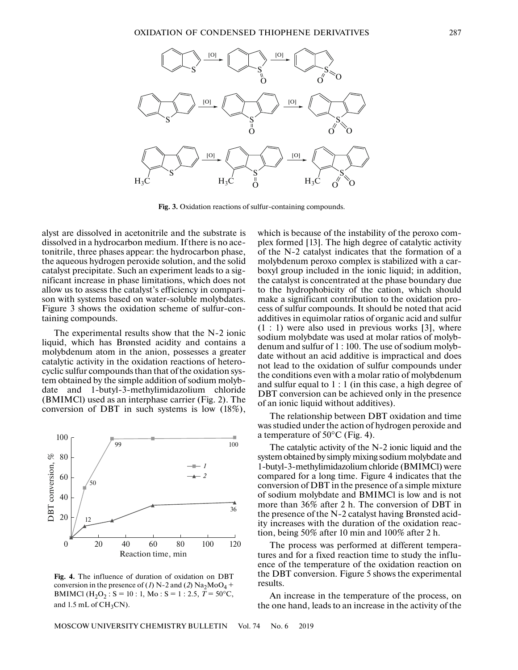

**Fig. 3.** Oxidation reactions of sulfur-containing compounds.

alyst are dissolved in acetonitrile and the substrate is dissolved in a hydrocarbon medium. If there is no acetonitrile, three phases appear: the hydrocarbon phase, the aqueous hydrogen peroxide solution, and the solid catalyst precipitate. Such an experiment leads to a significant increase in phase limitations, which does not allow us to assess the catalyst's efficiency in comparison with systems based on water-soluble molybdates. Figure 3 shows the oxidation scheme of sulfur-containing compounds.

The experimental results show that the N-2 ionic liquid, which has Brønsted acidity and contains a molybdenum atom in the anion, possesses a greater catalytic activity in the oxidation reactions of heterocyclic sulfur compounds than that of the oxidation system obtained by the simple addition of sodium molybdate and 1-butyl-3-methylimidazolium chloride (BMIMCl) used as an interphase carrier (Fig. 2). The conversion of DBT in such systems is low (18%),



**Fig. 4.** The influence of duration of oxidation on DBT conversion in the presence of (*1*) N-2 and (*2*) Na<sub>2</sub>MoO<sub>4</sub> + BMIMCl ( $H_2O_2$ : S = 10 : 1, Mo : S = 1 : 2.5, T = 50°C, and  $1.5$  mL of  $CH<sub>3</sub>CN$ .

which is because of the instability of the peroxo complex formed [13]. The high degree of catalytic activity of the N-2 catalyst indicates that the formation of a molybdenum peroxo complex is stabilized with a carboxyl group included in the ionic liquid; in addition, the catalyst is concentrated at the phase boundary due to the hydrophobicity of the cation, which should make a significant contribution to the oxidation process of sulfur compounds. It should be noted that acid additives in equimolar ratios of organic acid and sulfur  $(1:1)$  were also used in previous works [3], where sodium molybdate was used at molar ratios of molybdenum and sulfur of 1 : 100. The use of sodium molybdate without an acid additive is impractical and does not lead to the oxidation of sulfur compounds under the conditions even with a molar ratio of molybdenum and sulfur equal to 1 : 1 (in this case, a high degree of DBT conversion can be achieved only in the presence of an ionic liquid without additives).

The relationship between DBT oxidation and time was studied under the action of hydrogen peroxide and a temperature of 50°C (Fig. 4).

The catalytic activity of the N-2 ionic liquid and the system obtained by simply mixing sodium molybdate and 1-butyl-3-methylimidazolium chloride (BMIMCl) were compared for a long time. Figure 4 indicates that the conversion of DBT in the presence of a simple mixture of sodium molybdate and BMIMCl is low and is not more than 36% after 2 h. The conversion of DBT in the presence of the N-2 catalyst having Brønsted acidity increases with the duration of the oxidation reaction, being 50% after 10 min and 100% after 2 h.

The process was performed at different temperatures and for a fixed reaction time to study the influence of the temperature of the oxidation reaction on the DBT conversion. Figure 5 shows the experimental results.

An increase in the temperature of the process, on the one hand, leads to an increase in the activity of the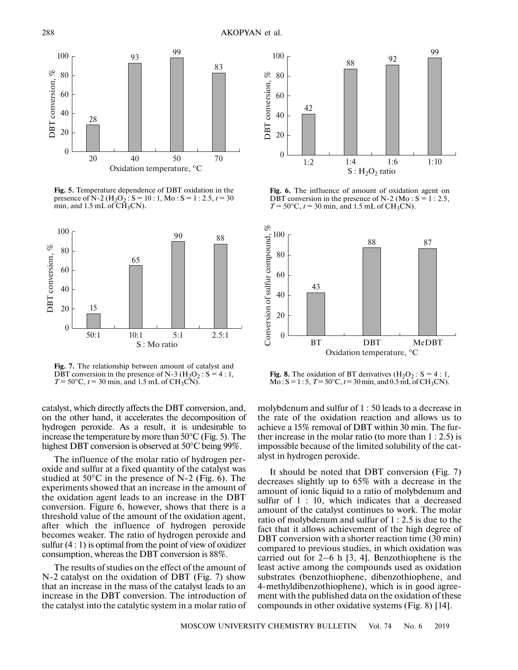

**Fig. 5.** Temperature dependence of DBT oxidation in the presence of N-2 ( $H_2O_2$ : S = 10 : 1, Mo : S = 1 : 2.5,  $t = 30$ min, and 1.5 mL of  $\overline{CH}_3CN$ .



**Fig. 7.** The relationship between amount of catalyst and DBT conversion in the presence of N-3 ( $H_2O_2$ : S = 4:1,  $T = 50^{\circ}$ C,  $t = 30$  min, and 1.5 mL of CH<sub>3</sub>CN).

catalyst, which directly affects the DBT conversion, and, on the other hand, it accelerates the decomposition of hydrogen peroxide. As a result, it is undesirable to increase the temperature by more than 50°С (Fig. 5). The highest DBT conversion is observed at 50°С being 99%.

The influence of the molar ratio of hydrogen peroxide and sulfur at a fixed quantity of the catalyst was studied at  $50^{\circ}$ C in the presence of N-2 (Fig. 6). The experiments showed that an increase in the amount of the oxidation agent leads to an increase in the DBT conversion. Figure 6, however, shows that there is a threshold value of the amount of the oxidation agent, after which the influence of hydrogen peroxide becomes weaker. The ratio of hydrogen peroxide and sulfur (4 : 1) is optimal from the point of view of oxidizer consumption, whereas the DBT conversion is 88%.

The results of studies on the effect of the amount of N-2 catalyst on the oxidation of DBT (Fig. 7) show that an increase in the mass of the catalyst leads to an increase in the DBT conversion. The introduction of the catalyst into the catalytic system in a molar ratio of



**Fig. 6.** The influence of amount of oxidation agent on DBT conversion in the presence of N-2 (Mo :  $S = 1$  : 2.5,  $T = 50^{\circ}\text{C}, t = 30 \text{ min}, \text{ and } 1.5 \text{ mL of } CH_3\text{CN}.$ 



**Fig. 8.** The oxidation of BT derivatives  $(H_2O_2 : S = 4 : 1,$  $Mo: S = 1:5, T = 50°C, t = 30 min, and 0.5 mL of CH<sub>3</sub>CN.$ 

molybdenum and sulfur of 1 : 50 leads to a decrease in the rate of the oxidation reaction and allows us to achieve a 15% removal of DBT within 30 min. The further increase in the molar ratio (to more than 1 : 2.5) is impossible because of the limited solubility of the catalyst in hydrogen peroxide.

It should be noted that DBT conversion (Fig. 7) decreases slightly up to 65% with a decrease in the amount of ionic liquid to a ratio of molybdenum and sulfur of 1 : 10, which indicates that a decreased amount of the catalyst continues to work. The molar ratio of molybdenum and sulfur of 1 : 2.5 is due to the fact that it allows achievement of the high degree of DBT conversion with a shorter reaction time (30 min) compared to previous studies, in which oxidation was carried out for 2–6 h [3, 4]. Benzothiophene is the least active among the compounds used as oxidation substrates (benzothiophene, dibenzothiophene, and 4-methyldibenzothiophene), which is in good agreement with the published data on the oxidation of these compounds in other oxidative systems (Fig. 8) [14].